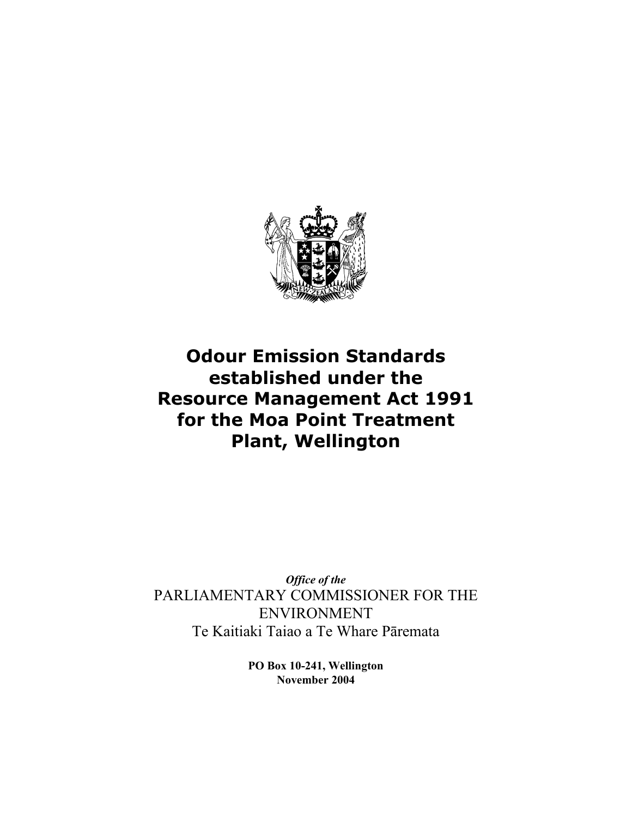

# **Odour Emission Standards established under the Resource Management Act 1991 for the Moa Point Treatment Plant, Wellington**

*Office of the*  PARLIAMENTARY COMMISSIONER FOR THE ENVIRONMENT Te Kaitiaki Taiao a Te Whare Pāremata

> **PO Box 10-241, Wellington November 2004**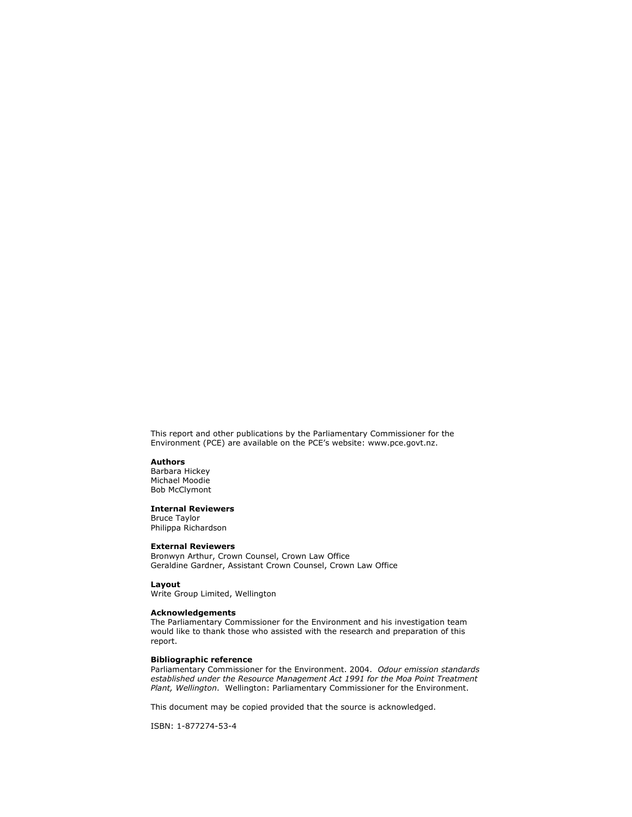This report and other publications by the Parliamentary Commissioner for the Environment (PCE) are available on the PCE's website: www.pce.govt.nz.

#### **Authors**

Barbara Hickey Michael Moodie Bob McClymont

#### **Internal Reviewers**

Bruce Taylor Philippa Richardson

#### **External Reviewers**

Bronwyn Arthur, Crown Counsel, Crown Law Office Geraldine Gardner, Assistant Crown Counsel, Crown Law Office

**Layout**  Write Group Limited, Wellington

#### **Acknowledgements**

The Parliamentary Commissioner for the Environment and his investigation team would like to thank those who assisted with the research and preparation of this report.

#### **Bibliographic reference**

Parliamentary Commissioner for the Environment. 2004. *Odour emission standards established under the Resource Management Act 1991 for the Moa Point Treatment Plant, Wellington*. Wellington: Parliamentary Commissioner for the Environment.

This document may be copied provided that the source is acknowledged.

ISBN: 1-877274-53-4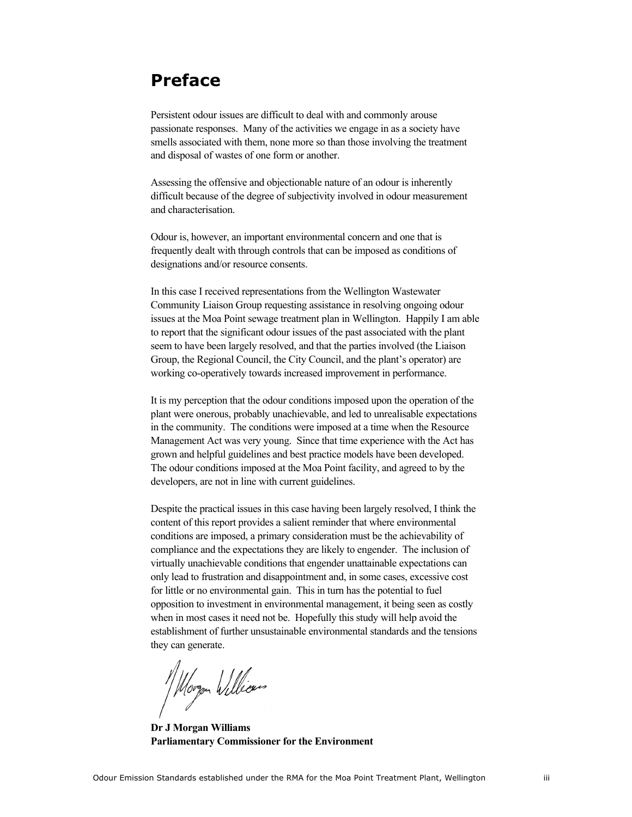## **Preface**

Persistent odour issues are difficult to deal with and commonly arouse passionate responses. Many of the activities we engage in as a society have smells associated with them, none more so than those involving the treatment and disposal of wastes of one form or another.

Assessing the offensive and objectionable nature of an odour is inherently difficult because of the degree of subjectivity involved in odour measurement and characterisation.

Odour is, however, an important environmental concern and one that is frequently dealt with through controls that can be imposed as conditions of designations and/or resource consents.

In this case I received representations from the Wellington Wastewater Community Liaison Group requesting assistance in resolving ongoing odour issues at the Moa Point sewage treatment plan in Wellington. Happily I am able to report that the significant odour issues of the past associated with the plant seem to have been largely resolved, and that the parties involved (the Liaison Group, the Regional Council, the City Council, and the plant's operator) are working co-operatively towards increased improvement in performance.

It is my perception that the odour conditions imposed upon the operation of the plant were onerous, probably unachievable, and led to unrealisable expectations in the community. The conditions were imposed at a time when the Resource Management Act was very young. Since that time experience with the Act has grown and helpful guidelines and best practice models have been developed. The odour conditions imposed at the Moa Point facility, and agreed to by the developers, are not in line with current guidelines.

Despite the practical issues in this case having been largely resolved, I think the content of this report provides a salient reminder that where environmental conditions are imposed, a primary consideration must be the achievability of compliance and the expectations they are likely to engender. The inclusion of virtually unachievable conditions that engender unattainable expectations can only lead to frustration and disappointment and, in some cases, excessive cost for little or no environmental gain. This in turn has the potential to fuel opposition to investment in environmental management, it being seen as costly when in most cases it need not be. Hopefully this study will help avoid the establishment of further unsustainable environmental standards and the tensions they can generate.

// Morgon Williams

**Dr J Morgan Williams Parliamentary Commissioner for the Environment**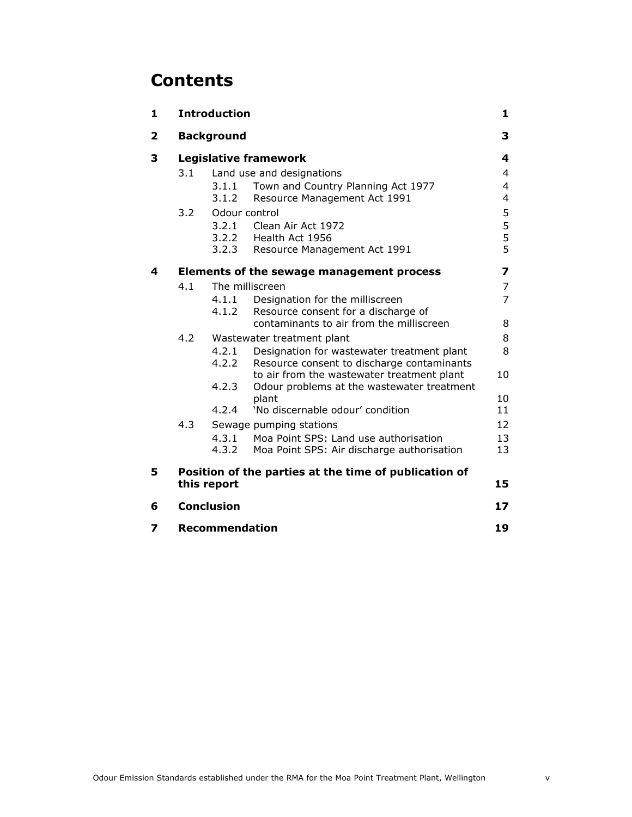# **Contents**

| 1                    | <b>Introduction</b>                                   |                            |                                                                                          | 1              |
|----------------------|-------------------------------------------------------|----------------------------|------------------------------------------------------------------------------------------|----------------|
| $\mathbf{2}$         | <b>Background</b>                                     |                            |                                                                                          | 3              |
| 3                    | <b>Legislative framework</b>                          |                            |                                                                                          | 4              |
|                      | 3.1                                                   | Land use and designations  |                                                                                          | $\overline{4}$ |
|                      |                                                       | 3.1.1                      | Town and Country Planning Act 1977                                                       | $\overline{4}$ |
|                      |                                                       | 3.1.2                      | Resource Management Act 1991                                                             | 4              |
| 3.2<br>Odour control |                                                       |                            |                                                                                          | 5              |
|                      |                                                       | 3.2.1                      | Clean Air Act 1972                                                                       | $\frac{5}{5}$  |
|                      |                                                       | 3.2.2<br>3.2.3             | Health Act 1956                                                                          | 5              |
|                      |                                                       |                            | Resource Management Act 1991                                                             |                |
| 4                    |                                                       |                            | Elements of the sewage management process                                                | 7              |
|                      | 4.1                                                   | The milliscreen            |                                                                                          | 7              |
|                      |                                                       | 4.1.1                      | Designation for the milliscreen                                                          | 7              |
|                      |                                                       | 4.1.2                      | Resource consent for a discharge of                                                      |                |
|                      |                                                       |                            | contaminants to air from the milliscreen                                                 | 8              |
|                      | 4.2                                                   | Wastewater treatment plant |                                                                                          | 8              |
|                      |                                                       | 4.2.1<br>4.2.2             | Designation for wastewater treatment plant                                               | 8              |
|                      |                                                       |                            | Resource consent to discharge contaminants<br>to air from the wastewater treatment plant | 10             |
|                      |                                                       | 4.2.3                      | Odour problems at the wastewater treatment                                               |                |
|                      |                                                       |                            | plant                                                                                    | 10             |
|                      |                                                       | 4.2.4                      | 'No discernable odour' condition                                                         | 11             |
|                      | 4.3                                                   |                            | Sewage pumping stations                                                                  | 12             |
|                      |                                                       | 4.3.1                      | Moa Point SPS: Land use authorisation                                                    | 13             |
|                      |                                                       | 4.3.2                      | Moa Point SPS: Air discharge authorisation                                               | 13             |
| 5                    | Position of the parties at the time of publication of |                            |                                                                                          |                |
|                      | this report                                           |                            |                                                                                          | 15             |
| 6                    | <b>Conclusion</b>                                     |                            |                                                                                          | 17             |
| 7                    | <b>Recommendation</b>                                 |                            |                                                                                          | 19             |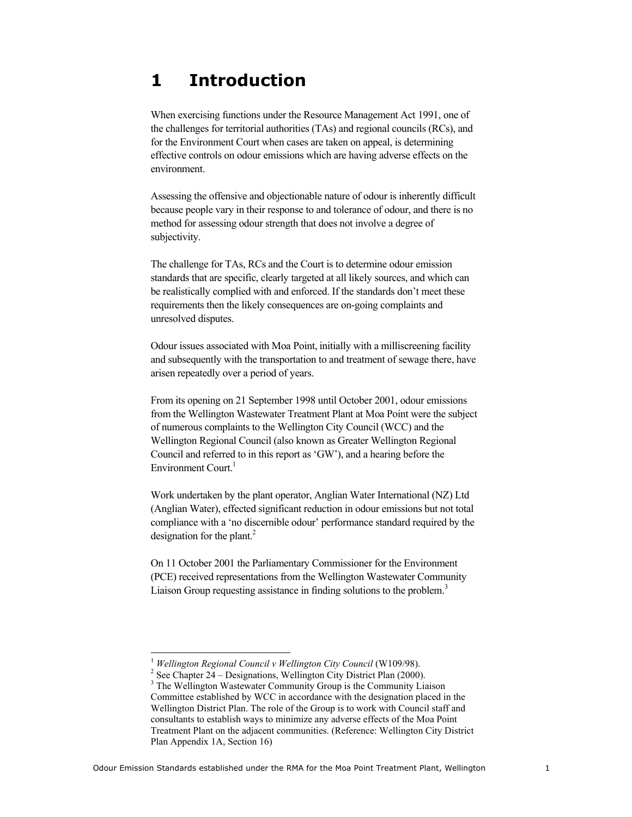# **1 Introduction**

When exercising functions under the Resource Management Act 1991, one of the challenges for territorial authorities (TAs) and regional councils (RCs), and for the Environment Court when cases are taken on appeal, is determining effective controls on odour emissions which are having adverse effects on the environment.

Assessing the offensive and objectionable nature of odour is inherently difficult because people vary in their response to and tolerance of odour, and there is no method for assessing odour strength that does not involve a degree of subjectivity.

The challenge for TAs, RCs and the Court is to determine odour emission standards that are specific, clearly targeted at all likely sources, and which can be realistically complied with and enforced. If the standards don't meet these requirements then the likely consequences are on-going complaints and unresolved disputes.

Odour issues associated with Moa Point, initially with a milliscreening facility and subsequently with the transportation to and treatment of sewage there, have arisen repeatedly over a period of years.

From its opening on 21 September 1998 until October 2001, odour emissions from the Wellington Wastewater Treatment Plant at Moa Point were the subject of numerous complaints to the Wellington City Council (WCC) and the Wellington Regional Council (also known as Greater Wellington Regional Council and referred to in this report as 'GW'), and a hearing before the Environment Court. $<sup>1</sup>$ </sup>

Work undertaken by the plant operator, Anglian Water International (NZ) Ltd (Anglian Water), effected significant reduction in odour emissions but not total compliance with a 'no discernible odour' performance standard required by the designation for the plant. $^{2}$ 

On 11 October 2001 the Parliamentary Commissioner for the Environment (PCE) received representations from the Wellington Wastewater Community Liaison Group requesting assistance in finding solutions to the problem.<sup>3</sup>

 $\overline{a}$ 

<sup>&</sup>lt;sup>1</sup> Wellington Regional Council v Wellington City Council (W109/98).

<sup>&</sup>lt;sup>2</sup> See Chapter  $24$  – Designations, Wellington City District Plan (2000).

<sup>&</sup>lt;sup>3</sup> The Wellington Wastewater Community Group is the Community Liaison Committee established by WCC in accordance with the designation placed in the Wellington District Plan. The role of the Group is to work with Council staff and consultants to establish ways to minimize any adverse effects of the Moa Point Treatment Plant on the adjacent communities. (Reference: Wellington City District Plan Appendix 1A, Section 16)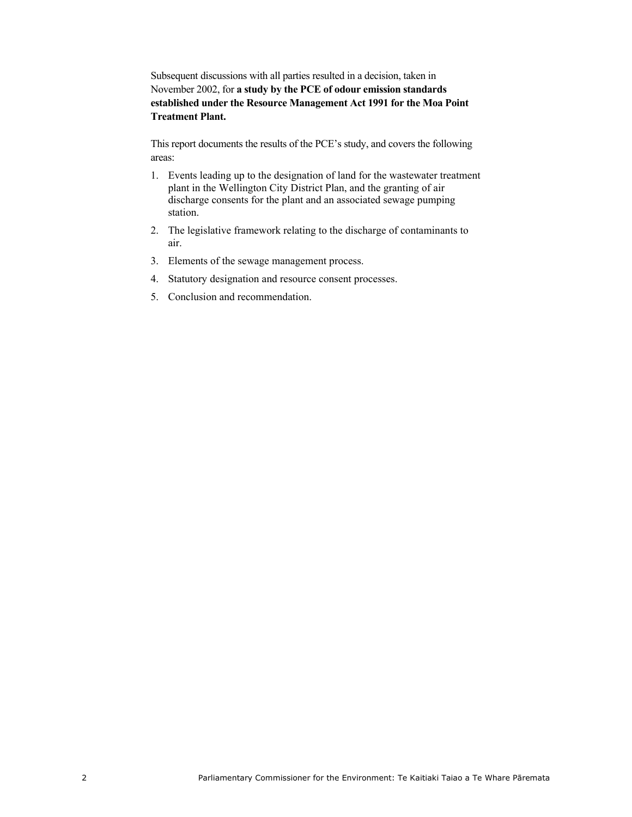Subsequent discussions with all parties resulted in a decision, taken in November 2002, for **a study by the PCE of odour emission standards established under the Resource Management Act 1991 for the Moa Point Treatment Plant.**

This report documents the results of the PCE's study, and covers the following areas:

- 1. Events leading up to the designation of land for the wastewater treatment plant in the Wellington City District Plan, and the granting of air discharge consents for the plant and an associated sewage pumping station.
- 2. The legislative framework relating to the discharge of contaminants to air.
- 3. Elements of the sewage management process.
- 4. Statutory designation and resource consent processes.
- 5. Conclusion and recommendation.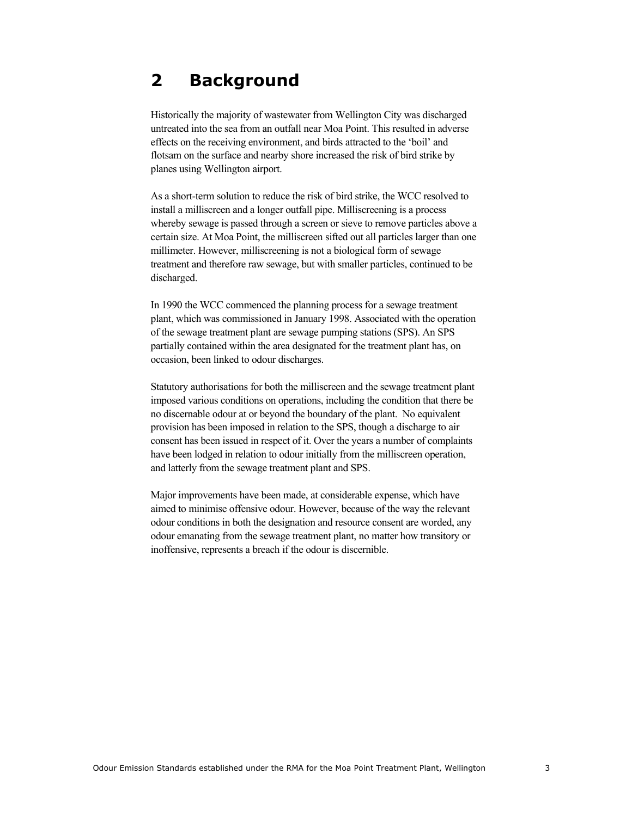## **2 Background**

Historically the majority of wastewater from Wellington City was discharged untreated into the sea from an outfall near Moa Point. This resulted in adverse effects on the receiving environment, and birds attracted to the 'boil' and flotsam on the surface and nearby shore increased the risk of bird strike by planes using Wellington airport.

As a short-term solution to reduce the risk of bird strike, the WCC resolved to install a milliscreen and a longer outfall pipe. Milliscreening is a process whereby sewage is passed through a screen or sieve to remove particles above a certain size. At Moa Point, the milliscreen sifted out all particles larger than one millimeter. However, milliscreening is not a biological form of sewage treatment and therefore raw sewage, but with smaller particles, continued to be discharged.

In 1990 the WCC commenced the planning process for a sewage treatment plant, which was commissioned in January 1998. Associated with the operation of the sewage treatment plant are sewage pumping stations (SPS). An SPS partially contained within the area designated for the treatment plant has, on occasion, been linked to odour discharges.

Statutory authorisations for both the milliscreen and the sewage treatment plant imposed various conditions on operations, including the condition that there be no discernable odour at or beyond the boundary of the plant. No equivalent provision has been imposed in relation to the SPS, though a discharge to air consent has been issued in respect of it. Over the years a number of complaints have been lodged in relation to odour initially from the milliscreen operation, and latterly from the sewage treatment plant and SPS.

Major improvements have been made, at considerable expense, which have aimed to minimise offensive odour. However, because of the way the relevant odour conditions in both the designation and resource consent are worded, any odour emanating from the sewage treatment plant, no matter how transitory or inoffensive, represents a breach if the odour is discernible.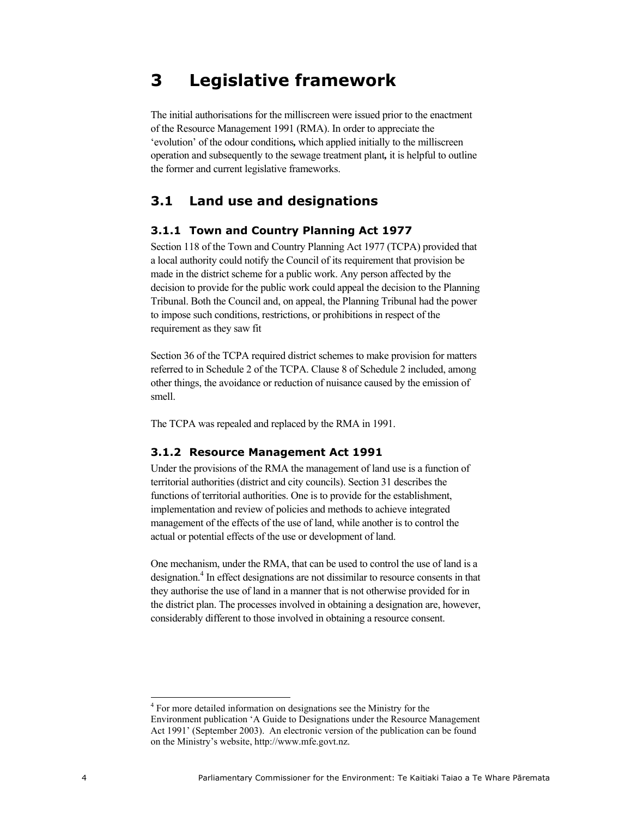## **3 Legislative framework**

The initial authorisations for the milliscreen were issued prior to the enactment of the Resource Management 1991 (RMA). In order to appreciate the 'evolution' of the odour conditions*,* which applied initially to the milliscreen operation and subsequently to the sewage treatment plant*,* it is helpful to outline the former and current legislative frameworks.

### **3.1 Land use and designations**

#### **3.1.1 Town and Country Planning Act 1977**

Section 118 of the Town and Country Planning Act 1977 (TCPA) provided that a local authority could notify the Council of its requirement that provision be made in the district scheme for a public work. Any person affected by the decision to provide for the public work could appeal the decision to the Planning Tribunal. Both the Council and, on appeal, the Planning Tribunal had the power to impose such conditions, restrictions, or prohibitions in respect of the requirement as they saw fit

Section 36 of the TCPA required district schemes to make provision for matters referred to in Schedule 2 of the TCPA. Clause 8 of Schedule 2 included, among other things, the avoidance or reduction of nuisance caused by the emission of smell.

The TCPA was repealed and replaced by the RMA in 1991.

#### **3.1.2 Resource Management Act 1991**

Under the provisions of the RMA the management of land use is a function of territorial authorities (district and city councils). Section 31 describes the functions of territorial authorities. One is to provide for the establishment, implementation and review of policies and methods to achieve integrated management of the effects of the use of land, while another is to control the actual or potential effects of the use or development of land.

One mechanism, under the RMA, that can be used to control the use of land is a designation.<sup>4</sup> In effect designations are not dissimilar to resource consents in that they authorise the use of land in a manner that is not otherwise provided for in the district plan. The processes involved in obtaining a designation are, however, considerably different to those involved in obtaining a resource consent.

 $\overline{a}$ 

<sup>&</sup>lt;sup>4</sup> For more detailed information on designations see the Ministry for the Environment publication 'A Guide to Designations under the Resource Management Act 1991' (September 2003). An electronic version of the publication can be found on the Ministry's website, http://www.mfe.govt.nz.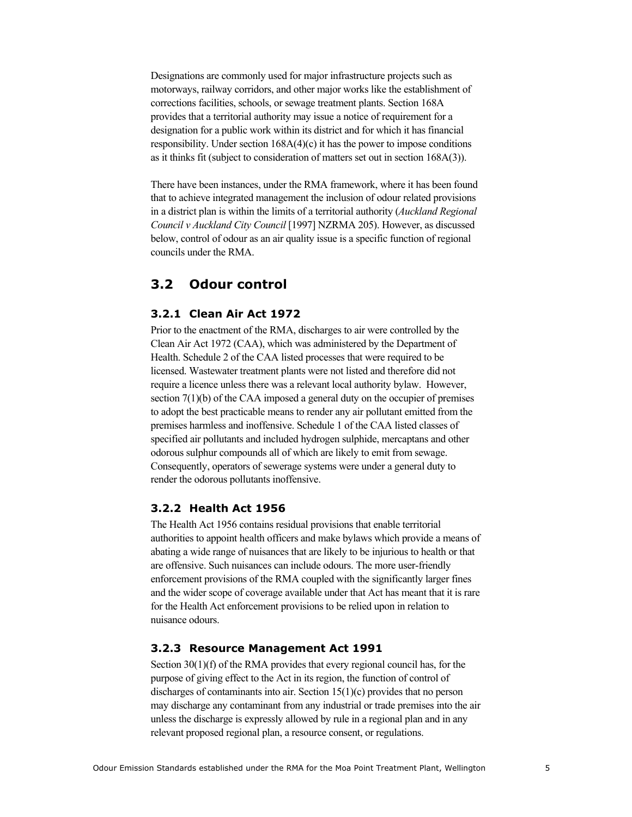Designations are commonly used for major infrastructure projects such as motorways, railway corridors, and other major works like the establishment of corrections facilities, schools, or sewage treatment plants. Section 168A provides that a territorial authority may issue a notice of requirement for a designation for a public work within its district and for which it has financial responsibility. Under section  $168A(4)(c)$  it has the power to impose conditions as it thinks fit (subject to consideration of matters set out in section 168A(3)).

There have been instances, under the RMA framework, where it has been found that to achieve integrated management the inclusion of odour related provisions in a district plan is within the limits of a territorial authority (*Auckland Regional Council v Auckland City Council* [1997] NZRMA 205). However, as discussed below, control of odour as an air quality issue is a specific function of regional councils under the RMA.

### **3.2 Odour control**

### **3.2.1 Clean Air Act 1972**

Prior to the enactment of the RMA, discharges to air were controlled by the Clean Air Act 1972 (CAA), which was administered by the Department of Health. Schedule 2 of the CAA listed processes that were required to be licensed. Wastewater treatment plants were not listed and therefore did not require a licence unless there was a relevant local authority bylaw. However, section 7(1)(b) of the CAA imposed a general duty on the occupier of premises to adopt the best practicable means to render any air pollutant emitted from the premises harmless and inoffensive. Schedule 1 of the CAA listed classes of specified air pollutants and included hydrogen sulphide, mercaptans and other odorous sulphur compounds all of which are likely to emit from sewage. Consequently, operators of sewerage systems were under a general duty to render the odorous pollutants inoffensive.

#### **3.2.2 Health Act 1956**

The Health Act 1956 contains residual provisions that enable territorial authorities to appoint health officers and make bylaws which provide a means of abating a wide range of nuisances that are likely to be injurious to health or that are offensive. Such nuisances can include odours. The more user-friendly enforcement provisions of the RMA coupled with the significantly larger fines and the wider scope of coverage available under that Act has meant that it is rare for the Health Act enforcement provisions to be relied upon in relation to nuisance odours.

#### **3.2.3 Resource Management Act 1991**

Section 30(1)(f) of the RMA provides that every regional council has, for the purpose of giving effect to the Act in its region, the function of control of discharges of contaminants into air. Section 15(1)(c) provides that no person may discharge any contaminant from any industrial or trade premises into the air unless the discharge is expressly allowed by rule in a regional plan and in any relevant proposed regional plan, a resource consent, or regulations.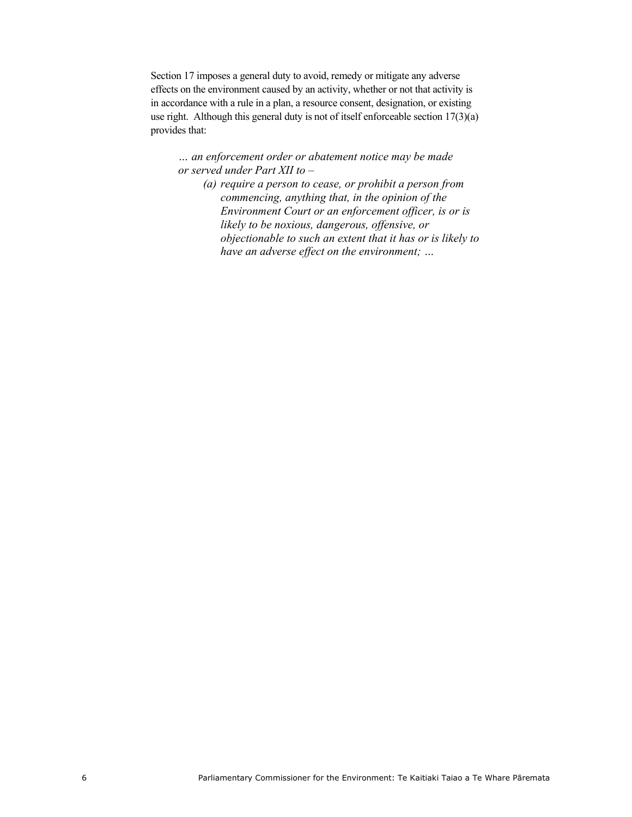Section 17 imposes a general duty to avoid, remedy or mitigate any adverse effects on the environment caused by an activity, whether or not that activity is in accordance with a rule in a plan, a resource consent, designation, or existing use right. Although this general duty is not of itself enforceable section 17(3)(a) provides that:

*… an enforcement order or abatement notice may be made or served under Part XII to –* 

*(a) require a person to cease, or prohibit a person from commencing, anything that, in the opinion of the Environment Court or an enforcement officer, is or is likely to be noxious, dangerous, offensive, or objectionable to such an extent that it has or is likely to have an adverse effect on the environment; …*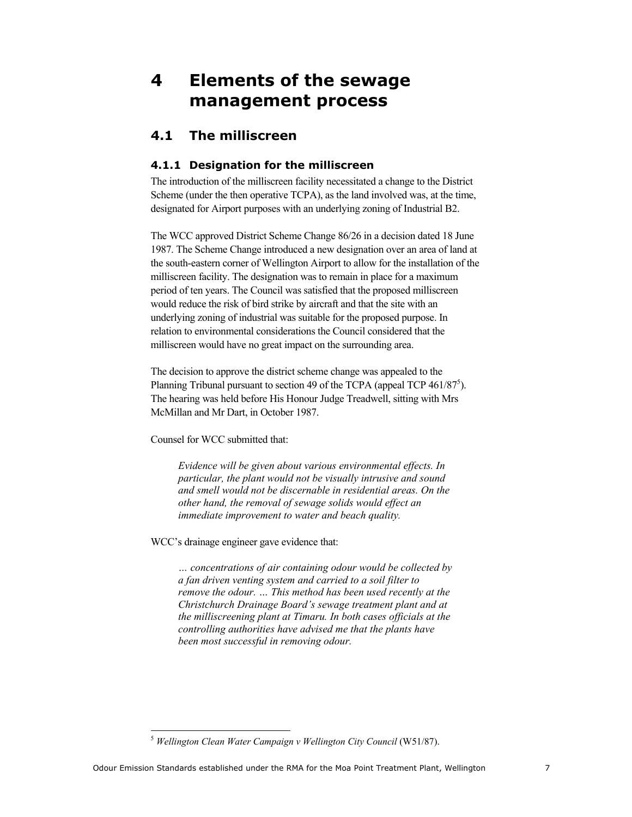# **4 Elements of the sewage management process**

### **4.1 The milliscreen**

### **4.1.1 Designation for the milliscreen**

The introduction of the milliscreen facility necessitated a change to the District Scheme (under the then operative TCPA), as the land involved was, at the time, designated for Airport purposes with an underlying zoning of Industrial B2.

The WCC approved District Scheme Change 86/26 in a decision dated 18 June 1987. The Scheme Change introduced a new designation over an area of land at the south-eastern corner of Wellington Airport to allow for the installation of the milliscreen facility. The designation was to remain in place for a maximum period of ten years. The Council was satisfied that the proposed milliscreen would reduce the risk of bird strike by aircraft and that the site with an underlying zoning of industrial was suitable for the proposed purpose. In relation to environmental considerations the Council considered that the milliscreen would have no great impact on the surrounding area.

The decision to approve the district scheme change was appealed to the Planning Tribunal pursuant to section 49 of the TCPA (appeal TCP  $461/87^5$ ). The hearing was held before His Honour Judge Treadwell, sitting with Mrs McMillan and Mr Dart, in October 1987.

Counsel for WCC submitted that:

*Evidence will be given about various environmental effects. In particular, the plant would not be visually intrusive and sound and smell would not be discernable in residential areas. On the other hand, the removal of sewage solids would effect an immediate improvement to water and beach quality.* 

WCC's drainage engineer gave evidence that:

*… concentrations of air containing odour would be collected by a fan driven venting system and carried to a soil filter to remove the odour. … This method has been used recently at the Christchurch Drainage Board's sewage treatment plant and at the milliscreening plant at Timaru. In both cases officials at the controlling authorities have advised me that the plants have been most successful in removing odour.* 

<sup>5</sup> *Wellington Clean Water Campaign v Wellington City Council* (W51/87).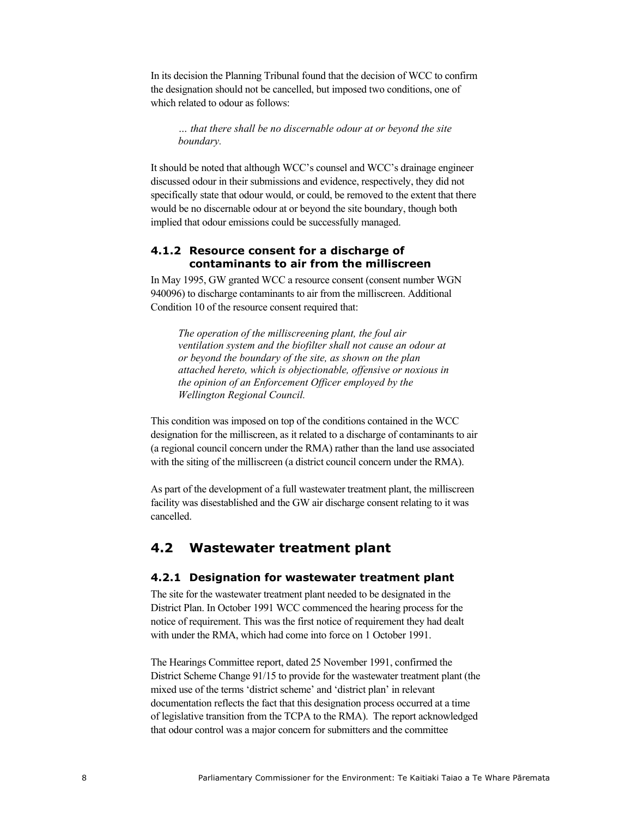In its decision the Planning Tribunal found that the decision of WCC to confirm the designation should not be cancelled, but imposed two conditions, one of which related to odour as follows:

*… that there shall be no discernable odour at or beyond the site boundary.* 

It should be noted that although WCC's counsel and WCC's drainage engineer discussed odour in their submissions and evidence, respectively, they did not specifically state that odour would, or could, be removed to the extent that there would be no discernable odour at or beyond the site boundary, though both implied that odour emissions could be successfully managed.

### **4.1.2 Resource consent for a discharge of contaminants to air from the milliscreen**

In May 1995, GW granted WCC a resource consent (consent number WGN 940096) to discharge contaminants to air from the milliscreen. Additional Condition 10 of the resource consent required that:

*The operation of the milliscreening plant, the foul air ventilation system and the biofilter shall not cause an odour at or beyond the boundary of the site, as shown on the plan attached hereto, which is objectionable, offensive or noxious in the opinion of an Enforcement Officer employed by the Wellington Regional Council.* 

This condition was imposed on top of the conditions contained in the WCC designation for the milliscreen, as it related to a discharge of contaminants to air (a regional council concern under the RMA) rather than the land use associated with the siting of the milliscreen (a district council concern under the RMA).

As part of the development of a full wastewater treatment plant, the milliscreen facility was disestablished and the GW air discharge consent relating to it was cancelled.

### **4.2 Wastewater treatment plant**

#### **4.2.1 Designation for wastewater treatment plant**

The site for the wastewater treatment plant needed to be designated in the District Plan. In October 1991 WCC commenced the hearing process for the notice of requirement. This was the first notice of requirement they had dealt with under the RMA, which had come into force on 1 October 1991.

The Hearings Committee report, dated 25 November 1991, confirmed the District Scheme Change 91/15 to provide for the wastewater treatment plant (the mixed use of the terms 'district scheme' and 'district plan' in relevant documentation reflects the fact that this designation process occurred at a time of legislative transition from the TCPA to the RMA). The report acknowledged that odour control was a major concern for submitters and the committee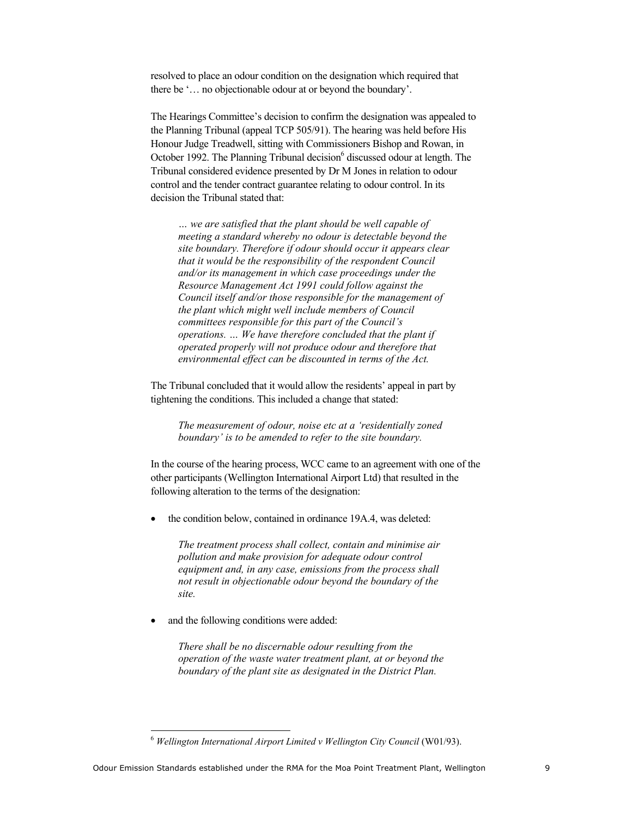resolved to place an odour condition on the designation which required that there be '… no objectionable odour at or beyond the boundary'.

The Hearings Committee's decision to confirm the designation was appealed to the Planning Tribunal (appeal TCP 505/91). The hearing was held before His Honour Judge Treadwell, sitting with Commissioners Bishop and Rowan, in October 1992. The Planning Tribunal decision<sup>6</sup> discussed odour at length. The Tribunal considered evidence presented by Dr M Jones in relation to odour control and the tender contract guarantee relating to odour control. In its decision the Tribunal stated that:

*… we are satisfied that the plant should be well capable of meeting a standard whereby no odour is detectable beyond the site boundary. Therefore if odour should occur it appears clear that it would be the responsibility of the respondent Council and/or its management in which case proceedings under the Resource Management Act 1991 could follow against the Council itself and/or those responsible for the management of the plant which might well include members of Council committees responsible for this part of the Council's operations. … We have therefore concluded that the plant if operated properly will not produce odour and therefore that environmental effect can be discounted in terms of the Act.* 

The Tribunal concluded that it would allow the residents' appeal in part by tightening the conditions. This included a change that stated:

*The measurement of odour, noise etc at a 'residentially zoned boundary' is to be amended to refer to the site boundary.* 

In the course of the hearing process, WCC came to an agreement with one of the other participants (Wellington International Airport Ltd) that resulted in the following alteration to the terms of the designation:

the condition below, contained in ordinance 19A.4, was deleted:

*The treatment process shall collect, contain and minimise air pollution and make provision for adequate odour control equipment and, in any case, emissions from the process shall not result in objectionable odour beyond the boundary of the site.* 

and the following conditions were added:

*There shall be no discernable odour resulting from the operation of the waste water treatment plant, at or beyond the boundary of the plant site as designated in the District Plan.* 

<sup>6</sup> *Wellington International Airport Limited v Wellington City Council* (W01/93).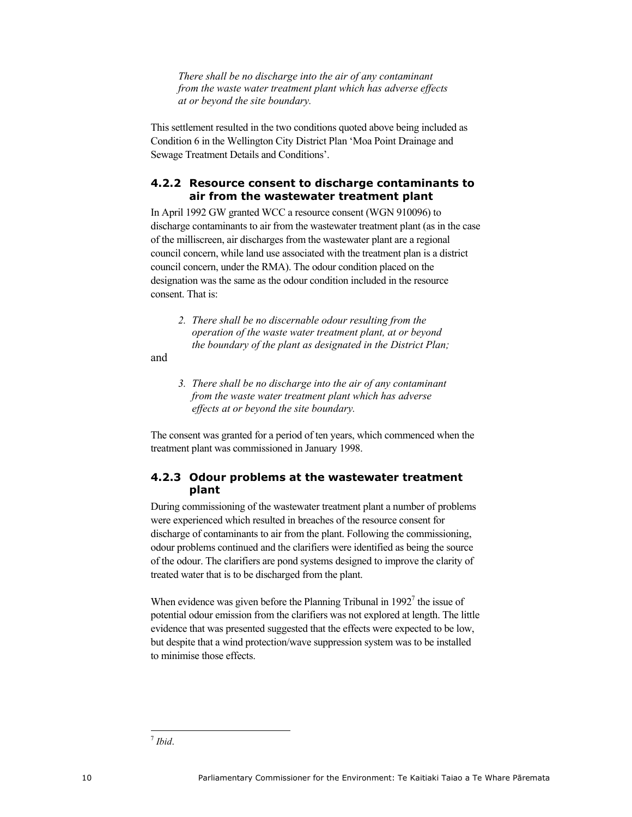*There shall be no discharge into the air of any contaminant from the waste water treatment plant which has adverse effects at or beyond the site boundary.* 

This settlement resulted in the two conditions quoted above being included as Condition 6 in the Wellington City District Plan 'Moa Point Drainage and Sewage Treatment Details and Conditions'.

### **4.2.2 Resource consent to discharge contaminants to air from the wastewater treatment plant**

In April 1992 GW granted WCC a resource consent (WGN 910096) to discharge contaminants to air from the wastewater treatment plant (as in the case of the milliscreen, air discharges from the wastewater plant are a regional council concern, while land use associated with the treatment plan is a district council concern, under the RMA). The odour condition placed on the designation was the same as the odour condition included in the resource consent. That is:

*2. There shall be no discernable odour resulting from the operation of the waste water treatment plant, at or beyond the boundary of the plant as designated in the District Plan;* 

and

*3. There shall be no discharge into the air of any contaminant from the waste water treatment plant which has adverse effects at or beyond the site boundary.* 

The consent was granted for a period of ten years, which commenced when the treatment plant was commissioned in January 1998.

### **4.2.3 Odour problems at the wastewater treatment plant**

During commissioning of the wastewater treatment plant a number of problems were experienced which resulted in breaches of the resource consent for discharge of contaminants to air from the plant. Following the commissioning, odour problems continued and the clarifiers were identified as being the source of the odour. The clarifiers are pond systems designed to improve the clarity of treated water that is to be discharged from the plant.

When evidence was given before the Planning Tribunal in  $1992<sup>7</sup>$  the issue of potential odour emission from the clarifiers was not explored at length. The little evidence that was presented suggested that the effects were expected to be low, but despite that a wind protection/wave suppression system was to be installed to minimise those effects.

 <sup>7</sup> *Ibid*.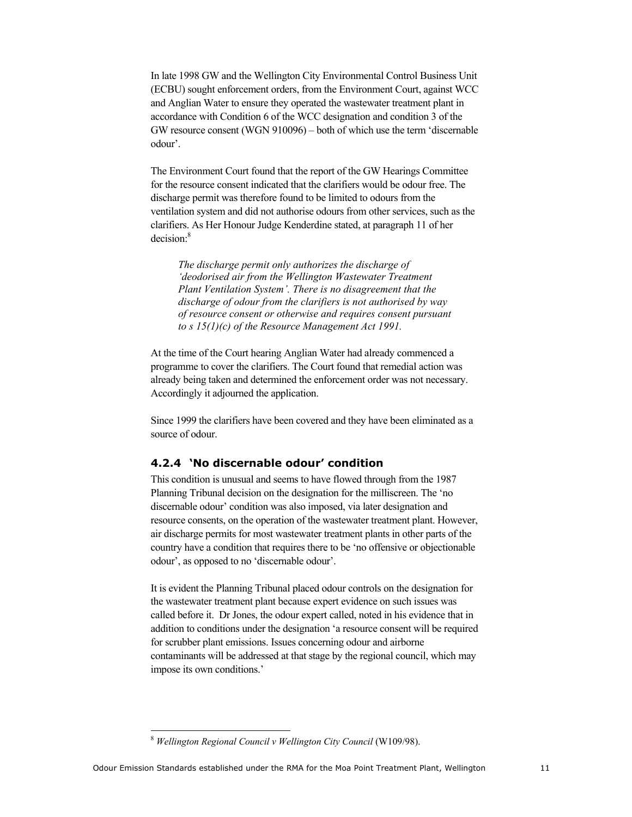In late 1998 GW and the Wellington City Environmental Control Business Unit (ECBU) sought enforcement orders, from the Environment Court, against WCC and Anglian Water to ensure they operated the wastewater treatment plant in accordance with Condition 6 of the WCC designation and condition 3 of the GW resource consent (WGN 910096) – both of which use the term 'discernable odour'.

The Environment Court found that the report of the GW Hearings Committee for the resource consent indicated that the clarifiers would be odour free. The discharge permit was therefore found to be limited to odours from the ventilation system and did not authorise odours from other services, such as the clarifiers. As Her Honour Judge Kenderdine stated, at paragraph 11 of her decision:<sup>8</sup>

*The discharge permit only authorizes the discharge of 'deodorised air from the Wellington Wastewater Treatment Plant Ventilation System'. There is no disagreement that the discharge of odour from the clarifiers is not authorised by way of resource consent or otherwise and requires consent pursuant to s 15(1)(c) of the Resource Management Act 1991.* 

At the time of the Court hearing Anglian Water had already commenced a programme to cover the clarifiers. The Court found that remedial action was already being taken and determined the enforcement order was not necessary. Accordingly it adjourned the application.

Since 1999 the clarifiers have been covered and they have been eliminated as a source of odour.

### **4.2.4 'No discernable odour' condition**

This condition is unusual and seems to have flowed through from the 1987 Planning Tribunal decision on the designation for the milliscreen. The 'no discernable odour' condition was also imposed, via later designation and resource consents, on the operation of the wastewater treatment plant. However, air discharge permits for most wastewater treatment plants in other parts of the country have a condition that requires there to be 'no offensive or objectionable odour', as opposed to no 'discernable odour'.

It is evident the Planning Tribunal placed odour controls on the designation for the wastewater treatment plant because expert evidence on such issues was called before it. Dr Jones, the odour expert called, noted in his evidence that in addition to conditions under the designation 'a resource consent will be required for scrubber plant emissions. Issues concerning odour and airborne contaminants will be addressed at that stage by the regional council, which may impose its own conditions.'

 <sup>8</sup> *Wellington Regional Council v Wellington City Council* (W109/98).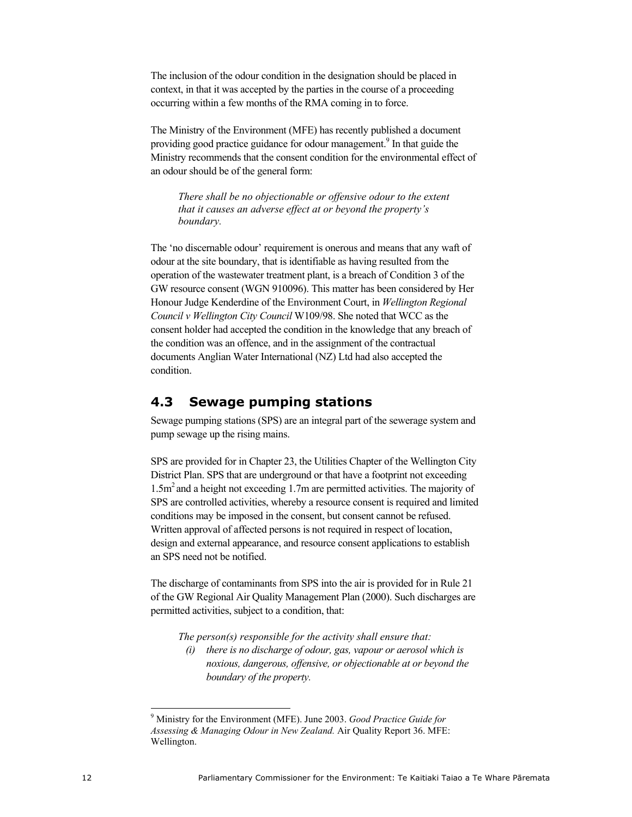The inclusion of the odour condition in the designation should be placed in context, in that it was accepted by the parties in the course of a proceeding occurring within a few months of the RMA coming in to force.

The Ministry of the Environment (MFE) has recently published a document providing good practice guidance for odour management.<sup>9</sup> In that guide the Ministry recommends that the consent condition for the environmental effect of an odour should be of the general form:

*There shall be no objectionable or offensive odour to the extent that it causes an adverse effect at or beyond the property's boundary.* 

The 'no discernable odour' requirement is onerous and means that any waft of odour at the site boundary, that is identifiable as having resulted from the operation of the wastewater treatment plant, is a breach of Condition 3 of the GW resource consent (WGN 910096). This matter has been considered by Her Honour Judge Kenderdine of the Environment Court, in *Wellington Regional Council v Wellington City Council* W109/98. She noted that WCC as the consent holder had accepted the condition in the knowledge that any breach of the condition was an offence, and in the assignment of the contractual documents Anglian Water International (NZ) Ltd had also accepted the condition.

### **4.3 Sewage pumping stations**

Sewage pumping stations (SPS) are an integral part of the sewerage system and pump sewage up the rising mains.

SPS are provided for in Chapter 23, the Utilities Chapter of the Wellington City District Plan. SPS that are underground or that have a footprint not exceeding 1.5m<sup>2</sup> and a height not exceeding 1.7m are permitted activities. The majority of SPS are controlled activities, whereby a resource consent is required and limited conditions may be imposed in the consent, but consent cannot be refused. Written approval of affected persons is not required in respect of location, design and external appearance, and resource consent applications to establish an SPS need not be notified.

The discharge of contaminants from SPS into the air is provided for in Rule 21 of the GW Regional Air Quality Management Plan (2000). Such discharges are permitted activities, subject to a condition, that:

*The person(s) responsible for the activity shall ensure that:* 

*(i) there is no discharge of odour, gas, vapour or aerosol which is noxious, dangerous, offensive, or objectionable at or beyond the boundary of the property.* 

 $\overline{a}$ 

<sup>9</sup> Ministry for the Environment (MFE). June 2003. *Good Practice Guide for Assessing & Managing Odour in New Zealand.* Air Quality Report 36. MFE: Wellington.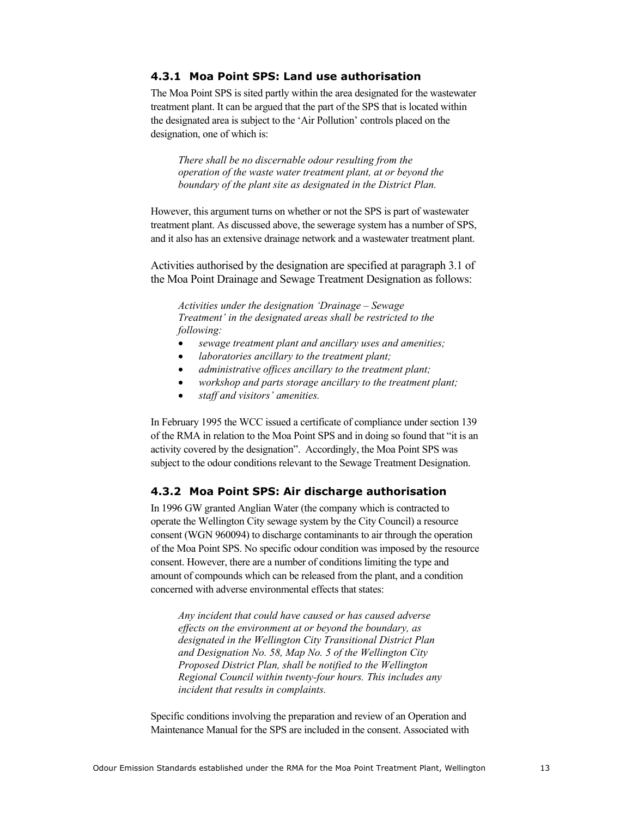### **4.3.1 Moa Point SPS: Land use authorisation**

The Moa Point SPS is sited partly within the area designated for the wastewater treatment plant. It can be argued that the part of the SPS that is located within the designated area is subject to the 'Air Pollution' controls placed on the designation, one of which is:

*There shall be no discernable odour resulting from the operation of the waste water treatment plant, at or beyond the boundary of the plant site as designated in the District Plan.* 

However, this argument turns on whether or not the SPS is part of wastewater treatment plant. As discussed above, the sewerage system has a number of SPS, and it also has an extensive drainage network and a wastewater treatment plant.

Activities authorised by the designation are specified at paragraph 3.1 of the Moa Point Drainage and Sewage Treatment Designation as follows:

*Activities under the designation 'Drainage – Sewage Treatment' in the designated areas shall be restricted to the following:* 

- *sewage treatment plant and ancillary uses and amenities;*
- *laboratories ancillary to the treatment plant;*
- *administrative offices ancillary to the treatment plant;*
- *workshop and parts storage ancillary to the treatment plant;*
- *staff and visitors' amenities.*

In February 1995 the WCC issued a certificate of compliance under section 139 of the RMA in relation to the Moa Point SPS and in doing so found that "it is an activity covered by the designation". Accordingly, the Moa Point SPS was subject to the odour conditions relevant to the Sewage Treatment Designation.

### **4.3.2 Moa Point SPS: Air discharge authorisation**

In 1996 GW granted Anglian Water (the company which is contracted to operate the Wellington City sewage system by the City Council) a resource consent (WGN 960094) to discharge contaminants to air through the operation of the Moa Point SPS. No specific odour condition was imposed by the resource consent. However, there are a number of conditions limiting the type and amount of compounds which can be released from the plant, and a condition concerned with adverse environmental effects that states:

*Any incident that could have caused or has caused adverse effects on the environment at or beyond the boundary, as designated in the Wellington City Transitional District Plan and Designation No. 58, Map No. 5 of the Wellington City Proposed District Plan, shall be notified to the Wellington Regional Council within twenty-four hours. This includes any incident that results in complaints.* 

Specific conditions involving the preparation and review of an Operation and Maintenance Manual for the SPS are included in the consent. Associated with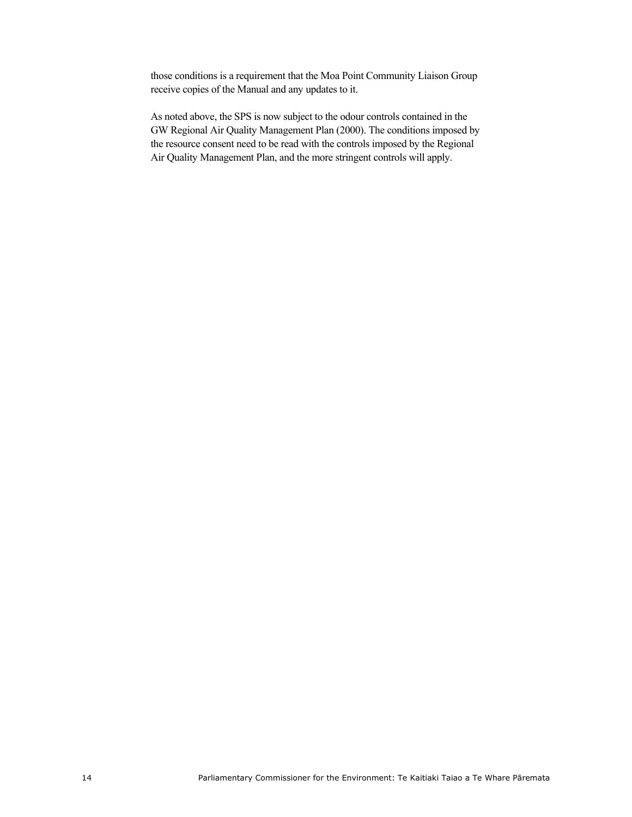those conditions is a requirement that the Moa Point Community Liaison Group receive copies of the Manual and any updates to it.

As noted above, the SPS is now subject to the odour controls contained in the GW Regional Air Quality Management Plan (2000). The conditions imposed by the resource consent need to be read with the controls imposed by the Regional Air Quality Management Plan, and the more stringent controls will apply.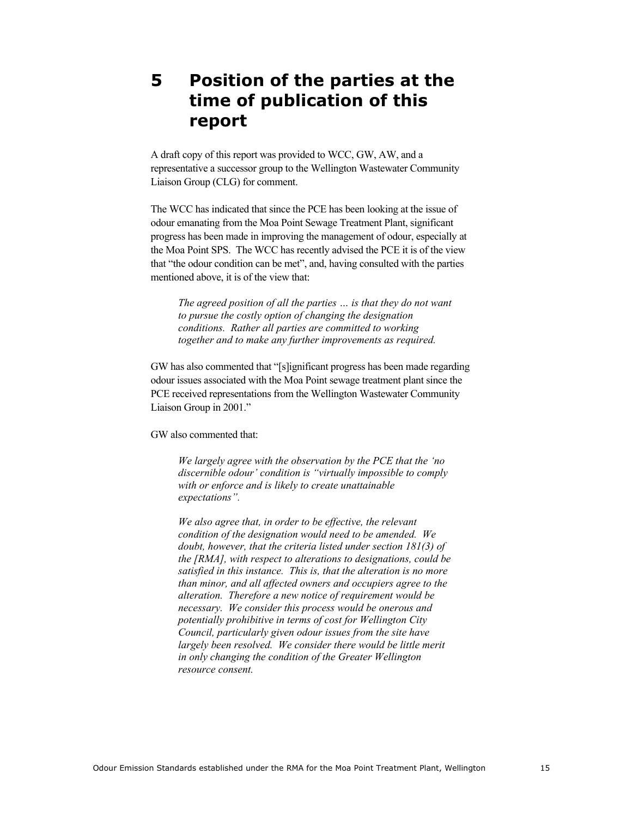# **5 Position of the parties at the time of publication of this report**

A draft copy of this report was provided to WCC, GW, AW, and a representative a successor group to the Wellington Wastewater Community Liaison Group (CLG) for comment.

The WCC has indicated that since the PCE has been looking at the issue of odour emanating from the Moa Point Sewage Treatment Plant, significant progress has been made in improving the management of odour, especially at the Moa Point SPS. The WCC has recently advised the PCE it is of the view that "the odour condition can be met", and, having consulted with the parties mentioned above, it is of the view that:

*The agreed position of all the parties … is that they do not want to pursue the costly option of changing the designation conditions. Rather all parties are committed to working together and to make any further improvements as required.* 

GW has also commented that "[s]ignificant progress has been made regarding odour issues associated with the Moa Point sewage treatment plant since the PCE received representations from the Wellington Wastewater Community Liaison Group in 2001."

GW also commented that:

*We largely agree with the observation by the PCE that the 'no discernible odour' condition is "virtually impossible to comply with or enforce and is likely to create unattainable expectations".* 

*We also agree that, in order to be effective, the relevant condition of the designation would need to be amended. We doubt, however, that the criteria listed under section 181(3) of the [RMA], with respect to alterations to designations, could be satisfied in this instance. This is, that the alteration is no more than minor, and all affected owners and occupiers agree to the alteration. Therefore a new notice of requirement would be necessary. We consider this process would be onerous and potentially prohibitive in terms of cost for Wellington City Council, particularly given odour issues from the site have largely been resolved. We consider there would be little merit in only changing the condition of the Greater Wellington resource consent.*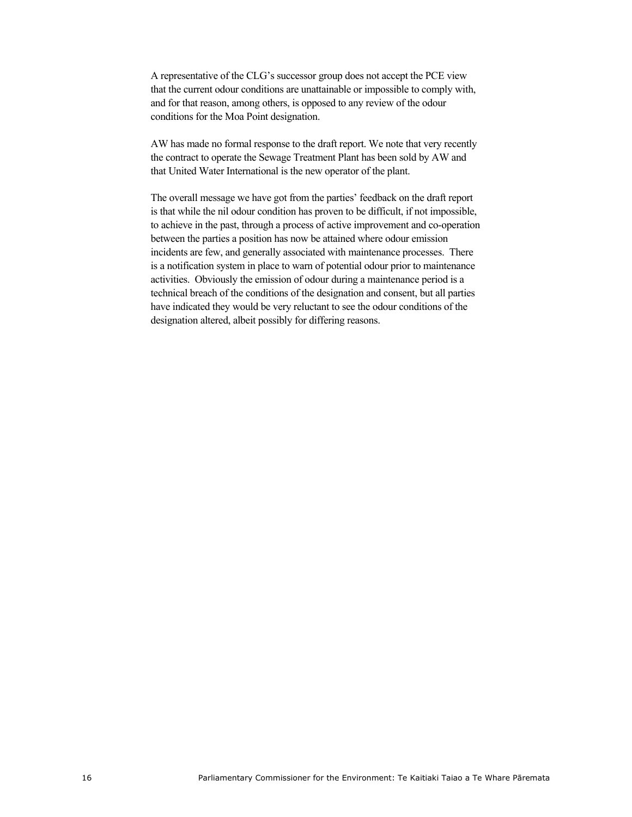A representative of the CLG's successor group does not accept the PCE view that the current odour conditions are unattainable or impossible to comply with, and for that reason, among others, is opposed to any review of the odour conditions for the Moa Point designation.

AW has made no formal response to the draft report. We note that very recently the contract to operate the Sewage Treatment Plant has been sold by AW and that United Water International is the new operator of the plant.

The overall message we have got from the parties' feedback on the draft report is that while the nil odour condition has proven to be difficult, if not impossible, to achieve in the past, through a process of active improvement and co-operation between the parties a position has now be attained where odour emission incidents are few, and generally associated with maintenance processes. There is a notification system in place to warn of potential odour prior to maintenance activities. Obviously the emission of odour during a maintenance period is a technical breach of the conditions of the designation and consent, but all parties have indicated they would be very reluctant to see the odour conditions of the designation altered, albeit possibly for differing reasons.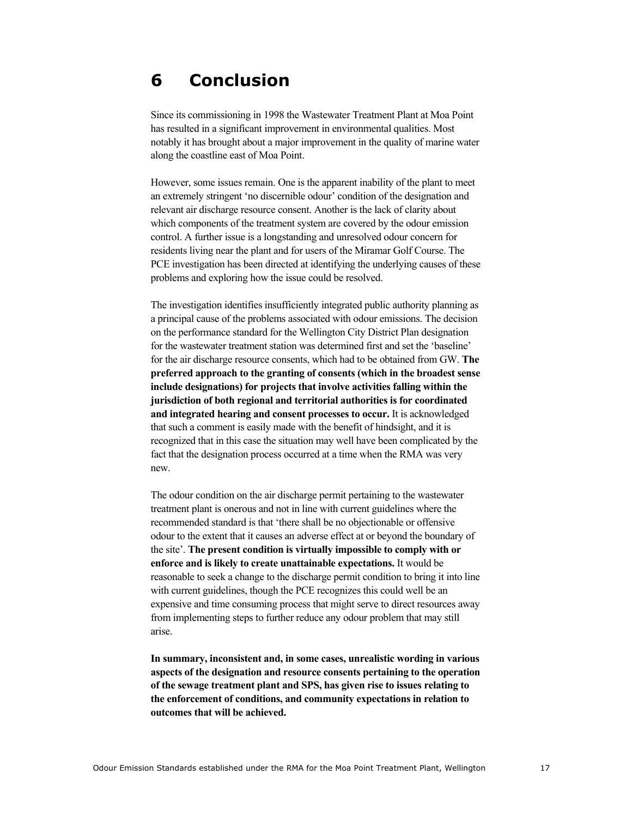## **6 Conclusion**

Since its commissioning in 1998 the Wastewater Treatment Plant at Moa Point has resulted in a significant improvement in environmental qualities. Most notably it has brought about a major improvement in the quality of marine water along the coastline east of Moa Point.

However, some issues remain. One is the apparent inability of the plant to meet an extremely stringent 'no discernible odour' condition of the designation and relevant air discharge resource consent. Another is the lack of clarity about which components of the treatment system are covered by the odour emission control. A further issue is a longstanding and unresolved odour concern for residents living near the plant and for users of the Miramar Golf Course. The PCE investigation has been directed at identifying the underlying causes of these problems and exploring how the issue could be resolved.

The investigation identifies insufficiently integrated public authority planning as a principal cause of the problems associated with odour emissions. The decision on the performance standard for the Wellington City District Plan designation for the wastewater treatment station was determined first and set the 'baseline' for the air discharge resource consents, which had to be obtained from GW. **The preferred approach to the granting of consents (which in the broadest sense include designations) for projects that involve activities falling within the jurisdiction of both regional and territorial authorities is for coordinated and integrated hearing and consent processes to occur.** It is acknowledged that such a comment is easily made with the benefit of hindsight, and it is recognized that in this case the situation may well have been complicated by the fact that the designation process occurred at a time when the RMA was very new.

The odour condition on the air discharge permit pertaining to the wastewater treatment plant is onerous and not in line with current guidelines where the recommended standard is that 'there shall be no objectionable or offensive odour to the extent that it causes an adverse effect at or beyond the boundary of the site'. **The present condition is virtually impossible to comply with or enforce and is likely to create unattainable expectations.** It would be reasonable to seek a change to the discharge permit condition to bring it into line with current guidelines, though the PCE recognizes this could well be an expensive and time consuming process that might serve to direct resources away from implementing steps to further reduce any odour problem that may still arise.

**In summary, inconsistent and, in some cases, unrealistic wording in various aspects of the designation and resource consents pertaining to the operation of the sewage treatment plant and SPS, has given rise to issues relating to the enforcement of conditions, and community expectations in relation to outcomes that will be achieved.**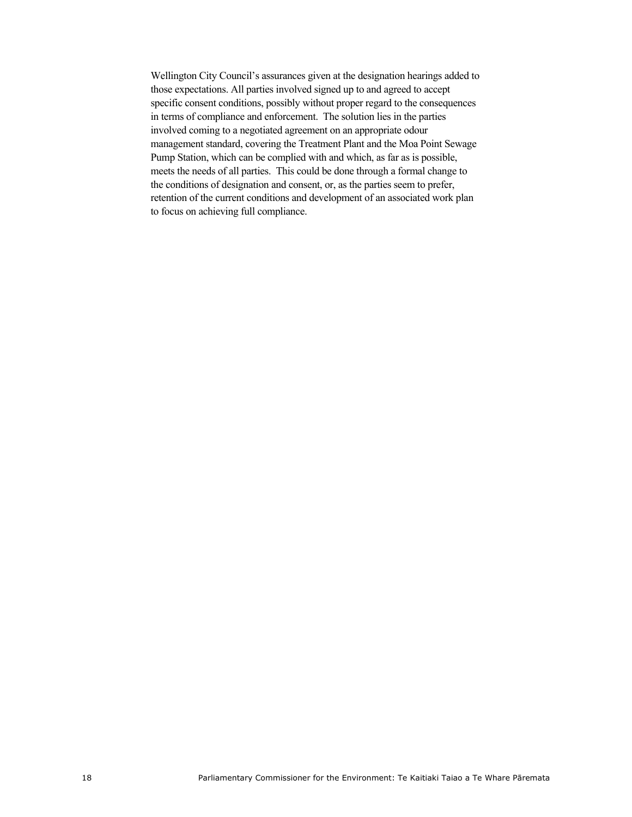Wellington City Council's assurances given at the designation hearings added to those expectations. All parties involved signed up to and agreed to accept specific consent conditions, possibly without proper regard to the consequences in terms of compliance and enforcement. The solution lies in the parties involved coming to a negotiated agreement on an appropriate odour management standard, covering the Treatment Plant and the Moa Point Sewage Pump Station, which can be complied with and which, as far as is possible, meets the needs of all parties. This could be done through a formal change to the conditions of designation and consent, or, as the parties seem to prefer, retention of the current conditions and development of an associated work plan to focus on achieving full compliance.